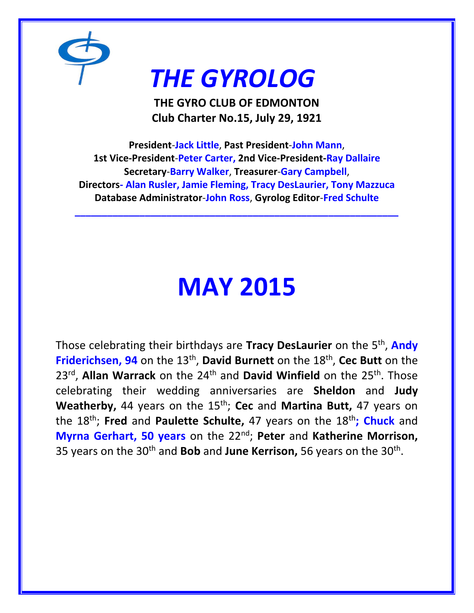

# *THE GYROLOG*

**THE GYRO CLUB OF EDMONTON Club Charter No.15, July 29, 1921**

**President**-**Jack Little**, **Past President**-**John Mann**, **1st Vice-President**-**Peter Carter, 2nd Vice-President-Ray Dallaire Secretary**-**Barry Walker**, **Treasurer**-**Gary Campbell**, **Directors- Alan Rusler, Jamie Fleming, Tracy DesLaurier, Tony Mazzuca Database Administrator**-**John Ross**, **Gyrolog Editor**-**Fred Schulte**

**\_\_\_\_\_\_\_\_\_\_\_\_\_\_\_\_\_\_\_\_\_\_\_\_\_\_\_\_\_\_\_\_\_\_\_\_\_\_\_\_\_\_\_\_\_\_\_\_\_\_\_\_\_\_\_\_\_\_\_\_**

# **MAY 2015**

Those celebrating their birthdays are **Tracy DesLaurier** on the 5th , **Andy Friderichsen, 94** on the 13<sup>th</sup>, **David Burnett** on the 18<sup>th</sup>, Cec Butt on the 23rd , **Allan Warrack** on the 24th and **David Winfield** on the 25th. Those celebrating their wedding anniversaries are **Sheldon** and **Judy Weatherby,** 44 years on the 15th; **Cec** and **Martina Butt,** 47 years on the 18th; **Fred** and **Paulette Schulte,** 47 years on the 18th**; Chuck** and **Myrna Gerhart, 50 years** on the 22nd; **Peter** and **Katherine Morrison,**  35 years on the 30th and **Bob** and **June Kerrison,** 56 years on the 30th .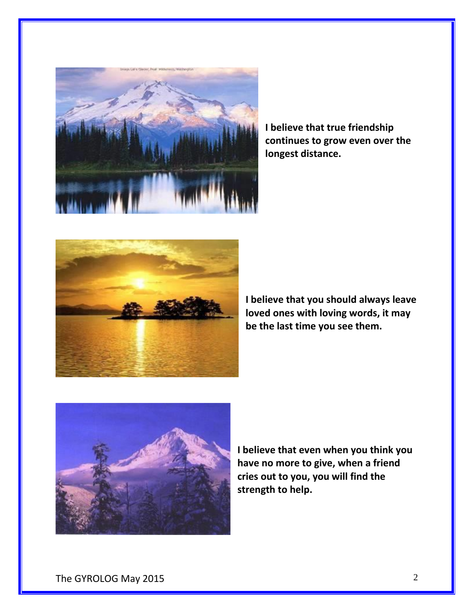

**I believe that true friendship continues to grow even over the longest distance.**



**I believe that you should always leave loved ones with loving words, it may be the last time you see them.**



**I believe that even when you think you have no more to give, when a friend cries out to you, you will find the strength to help.**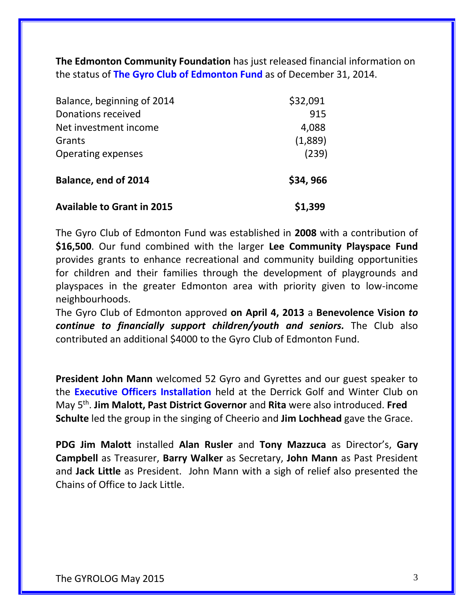**The Edmonton Community Foundation** has just released financial information on the status of **The Gyro Club of Edmonton Fund** as of December 31, 2014.

| Balance, beginning of 2014<br>Donations received<br>Net investment income<br>Grants<br><b>Operating expenses</b> | \$32,091<br>915<br>4,088<br>(1,889)<br>(239) |                                   |          |
|------------------------------------------------------------------------------------------------------------------|----------------------------------------------|-----------------------------------|----------|
|                                                                                                                  |                                              | <b>Balance, end of 2014</b>       | \$34,966 |
|                                                                                                                  |                                              | <b>Available to Grant in 2015</b> | \$1,399  |

The Gyro Club of Edmonton Fund was established in **2008** with a contribution of **\$16,500**. Our fund combined with the larger **Lee Community Playspace Fund** provides grants to enhance recreational and community building opportunities for children and their families through the development of playgrounds and playspaces in the greater Edmonton area with priority given to low-income neighbourhoods.

The Gyro Club of Edmonton approved **on April 4, 2013** a **Benevolence Vision** *to continue to financially support children/youth and seniors.* The Club also contributed an additional \$4000 to the Gyro Club of Edmonton Fund.

**President John Mann** welcomed 52 Gyro and Gyrettes and our guest speaker to the **Executive Officers Installation** held at the Derrick Golf and Winter Club on May 5th . **Jim Malott, Past District Governor** and **Rita** were also introduced. **Fred Schulte** led the group in the singing of Cheerio and **Jim Lochhead** gave the Grace.

**PDG Jim Malott** installed **Alan Rusler** and **Tony Mazzuca** as Director's, **Gary Campbell** as Treasurer, **Barry Walker** as Secretary, **John Mann** as Past President and **Jack Little** as President. John Mann with a sigh of relief also presented the Chains of Office to Jack Little.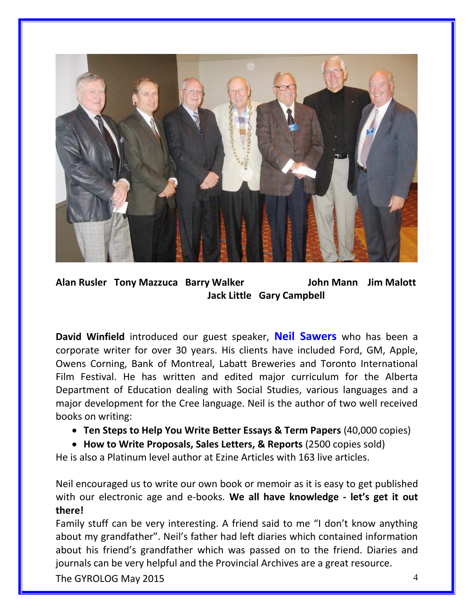

**Alan Rusler Tony Mazzuca Barry Walker John Mann Jim Malott Jack Little Gary Campbell** 

**David Winfield** introduced our guest speaker, **Neil Sawers** who has been a corporate writer for over 30 years. His clients have included Ford, GM, Apple, Owens Corning, Bank of Montreal, Labatt Breweries and Toronto International Film Festival. He has written and edited major curriculum for the Alberta Department of Education dealing with Social Studies, various languages and a major development for the Cree language. Neil is the author of two well received books on writing:

- **Ten Steps to Help You Write Better Essays & Term Papers** (40,000 copies)
- **How to Write Proposals, Sales Letters, & Reports** (2500 copies sold)

He is also a Platinum level author at Ezine Articles with 163 live articles.

Neil encouraged us to write our own book or memoir as it is easy to get published with our electronic age and e-books. **We all have knowledge - let's get it out there!**

Family stuff can be very interesting. A friend said to me "I don't know anything about my grandfather". Neil's father had left diaries which contained information about his friend's grandfather which was passed on to the friend. Diaries and journals can be very helpful and the Provincial Archives are a great resource.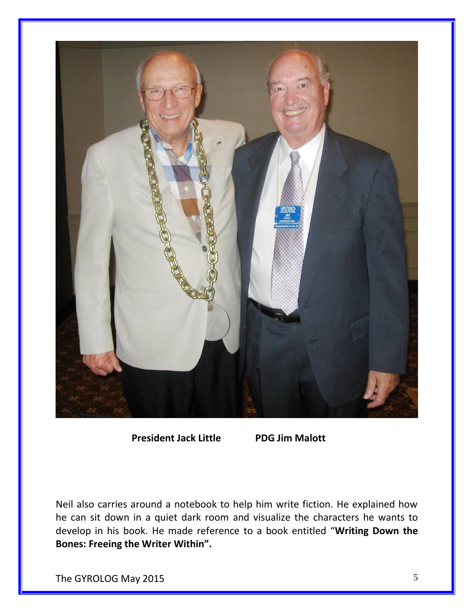

 **President Jack Little PDG Jim Malott**

Neil also carries around a notebook to help him write fiction. He explained how he can sit down in a quiet dark room and visualize the characters he wants to develop in his book. He made reference to a book entitled "**Writing Down the Bones: Freeing the Writer Within".**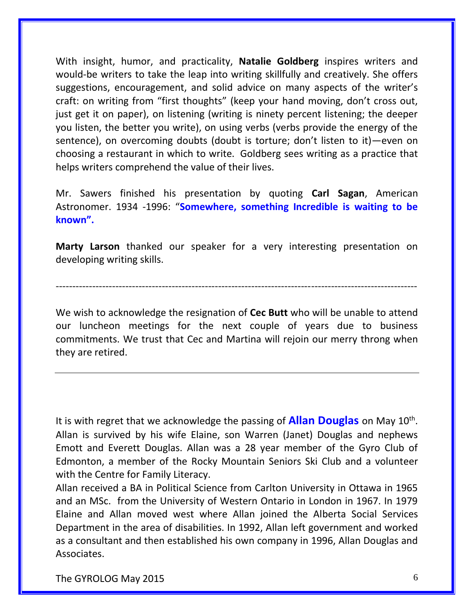With insight, humor, and practicality, **Natalie Goldberg** inspires writers and would-be writers to take the leap into writing skillfully and creatively. She offers suggestions, encouragement, and solid advice on many aspects of the writer's craft: on writing from "first thoughts" (keep your hand moving, don't cross out, just get it on paper), on listening (writing is ninety percent listening; the deeper you listen, the better you write), on using verbs (verbs provide the energy of the sentence), on overcoming doubts (doubt is torture; don't listen to it)—even on choosing a restaurant in which to write. Goldberg sees writing as a practice that helps writers comprehend the value of their lives.

Mr. Sawers finished his presentation by quoting **Carl Sagan**, American Astronomer. 1934 -1996: "**Somewhere, something Incredible is waiting to be known".**

**Marty Larson** thanked our speaker for a very interesting presentation on developing writing skills.

-------------------------------------------------------------------------------------------------------------

We wish to acknowledge the resignation of **Cec Butt** who will be unable to attend our luncheon meetings for the next couple of years due to business commitments. We trust that Cec and Martina will rejoin our merry throng when they are retired.

It is with regret that we acknowledge the passing of **Allan Douglas** on May 10<sup>th</sup>. Allan is survived by his wife Elaine, son Warren (Janet) Douglas and nephews Emott and Everett Douglas. Allan was a 28 year member of the Gyro Club of Edmonton, a member of the Rocky Mountain Seniors Ski Club and a volunteer with the Centre for Family Literacy.

Allan received a BA in Political Science from Carlton University in Ottawa in 1965 and an MSc. from the University of Western Ontario in London in 1967. In 1979 Elaine and Allan moved west where Allan joined the Alberta Social Services Department in the area of disabilities. In 1992, Allan left government and worked as a consultant and then established his own company in 1996, Allan Douglas and Associates.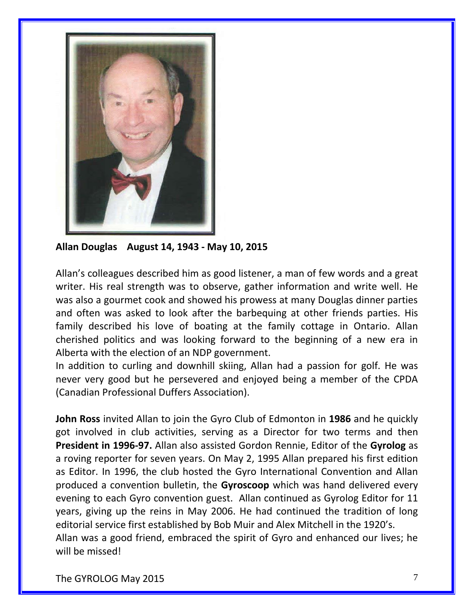

**Allan Douglas August 14, 1943 - May 10, 2015**

Allan's colleagues described him as good listener, a man of few words and a great writer. His real strength was to observe, gather information and write well. He was also a gourmet cook and showed his prowess at many Douglas dinner parties and often was asked to look after the barbequing at other friends parties. His family described his love of boating at the family cottage in Ontario. Allan cherished politics and was looking forward to the beginning of a new era in Alberta with the election of an NDP government.

In addition to curling and downhill skiing, Allan had a passion for golf. He was never very good but he persevered and enjoyed being a member of the CPDA (Canadian Professional Duffers Association).

**John Ross** invited Allan to join the Gyro Club of Edmonton in **1986** and he quickly got involved in club activities, serving as a Director for two terms and then **President in 1996-97.** Allan also assisted Gordon Rennie, Editor of the **Gyrolog** as a roving reporter for seven years. On May 2, 1995 Allan prepared his first edition as Editor. In 1996, the club hosted the Gyro International Convention and Allan produced a convention bulletin, the **Gyroscoop** which was hand delivered every evening to each Gyro convention guest. Allan continued as Gyrolog Editor for 11 years, giving up the reins in May 2006. He had continued the tradition of long editorial service first established by Bob Muir and Alex Mitchell in the 1920's. Allan was a good friend, embraced the spirit of Gyro and enhanced our lives; he will be missed!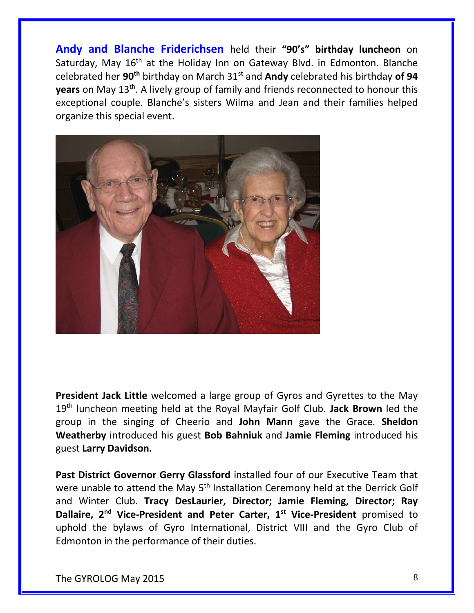**Andy and Blanche Friderichsen** held their **"90's" birthday luncheon** on Saturday, May  $16<sup>th</sup>$  at the Holiday Inn on Gateway Blvd. in Edmonton. Blanche celebrated her **90th** birthday on March 31st and **Andy** celebrated his birthday **of 94 years** on May 13<sup>th</sup>. A lively group of family and friends reconnected to honour this exceptional couple. Blanche's sisters Wilma and Jean and their families helped organize this special event.



**President Jack Little** welcomed a large group of Gyros and Gyrettes to the May 19th luncheon meeting held at the Royal Mayfair Golf Club. **Jack Brown** led the group in the singing of Cheerio and **John Mann** gave the Grace. **Sheldon Weatherby** introduced his guest **Bob Bahniuk** and **Jamie Fleming** introduced his guest **Larry Davidson.**

**Past District Governor Gerry Glassford** installed four of our Executive Team that were unable to attend the May 5<sup>th</sup> Installation Ceremony held at the Derrick Golf and Winter Club. **Tracy DesLaurier, Director; Jamie Fleming, Director; Ray Dallaire, 2nd Vice-President and Peter Carter, 1st Vice-President** promised to uphold the bylaws of Gyro International, District VIII and the Gyro Club of Edmonton in the performance of their duties.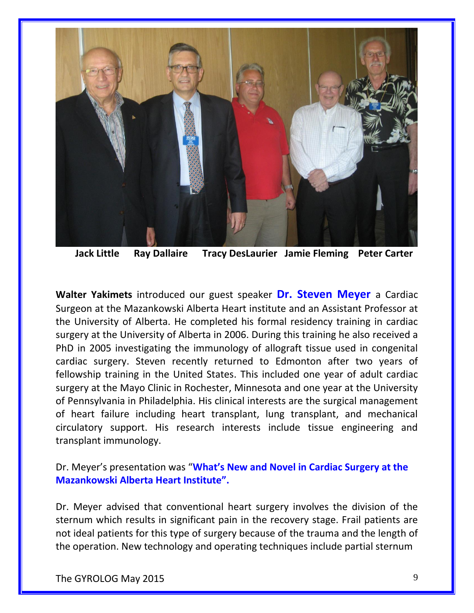

 **Jack Little Ray Dallaire Tracy DesLaurier Jamie Fleming Peter Carter**

**Walter Yakimets** introduced our guest speaker **Dr. Steven Meyer** a Cardiac Surgeon at the Mazankowski Alberta Heart institute and an Assistant Professor at the University of Alberta. He completed his formal residency training in cardiac surgery at the University of Alberta in 2006. During this training he also received a PhD in 2005 investigating the immunology of allograft tissue used in congenital cardiac surgery. Steven recently returned to Edmonton after two years of fellowship training in the United States. This included one year of adult cardiac surgery at the Mayo Clinic in Rochester, Minnesota and one year at the University of Pennsylvania in Philadelphia. His clinical interests are the surgical management of heart failure including heart transplant, lung transplant, and mechanical circulatory support. His research interests include tissue engineering and transplant immunology.

Dr. Meyer's presentation was "**What's New and Novel in Cardiac Surgery at the Mazankowski Alberta Heart Institute".**

Dr. Meyer advised that conventional heart surgery involves the division of the sternum which results in significant pain in the recovery stage. Frail patients are not ideal patients for this type of surgery because of the trauma and the length of the operation. New technology and operating techniques include partial sternum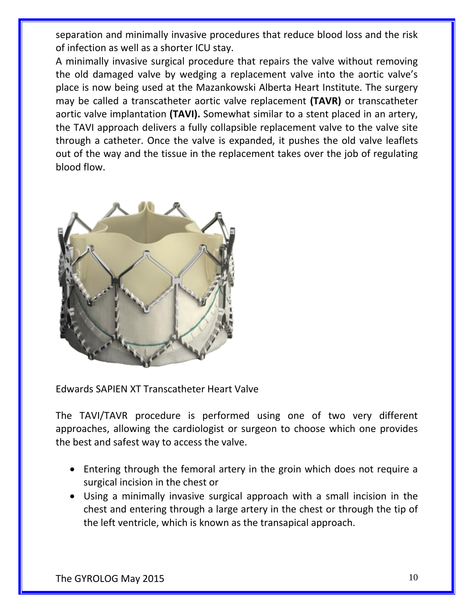separation and minimally invasive procedures that reduce blood loss and the risk of infection as well as a shorter ICU stay.

A minimally invasive surgical procedure that repairs the valve without removing the old damaged valve by wedging a replacement valve into the aortic valve's place is now being used at the Mazankowski Alberta Heart Institute. The surgery may be called a transcatheter aortic valve replacement **(TAVR)** or transcatheter aortic valve implantation **(TAVI).** Somewhat similar to a stent placed in an artery, the TAVI approach delivers a fully collapsible replacement valve to the valve site through a catheter. Once the valve is expanded, it pushes the old valve leaflets out of the way and the tissue in the replacement takes over the job of regulating blood flow.



Edwards SAPIEN XT Transcatheter Heart Valve

The TAVI/TAVR procedure is performed using one of two very different approaches, allowing the cardiologist or surgeon to choose which one provides the best and safest way to access the valve.

- Entering through the femoral artery in the groin which does not require a surgical incision in the chest or
- Using a minimally invasive surgical approach with a small incision in the chest and entering through a large artery in the chest or through the tip of the left ventricle, which is known as the transapical approach.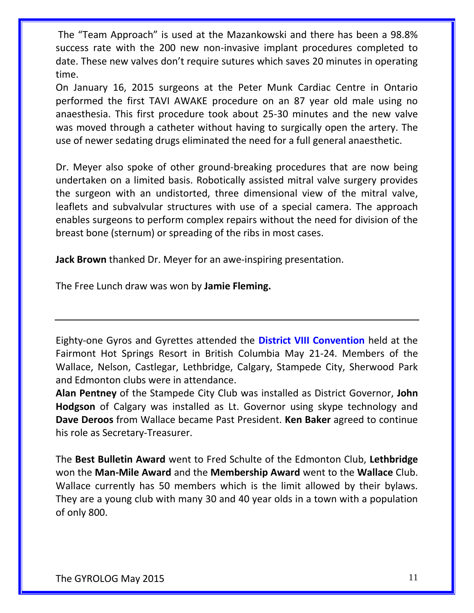The "Team Approach" is used at the Mazankowski and there has been a 98.8% success rate with the 200 new non-invasive implant procedures completed to date. These new valves don't require sutures which saves 20 minutes in operating time.

On January 16, 2015 surgeons at the Peter Munk Cardiac Centre in Ontario performed the first TAVI AWAKE procedure on an 87 year old male using no anaesthesia. This first procedure took about 25-30 minutes and the new valve was moved through a catheter without having to surgically open the artery. The use of newer sedating drugs eliminated the need for a full general anaesthetic.

Dr. Meyer also spoke of other ground-breaking procedures that are now being undertaken on a limited basis. Robotically assisted mitral valve surgery provides the surgeon with an undistorted, three dimensional view of the mitral valve, leaflets and subvalvular structures with use of a special camera. The approach enables surgeons to perform complex repairs without the need for division of the breast bone (sternum) or spreading of the ribs in most cases.

**Jack Brown** thanked Dr. Meyer for an awe-inspiring presentation.

The Free Lunch draw was won by **Jamie Fleming.**

Eighty-one Gyros and Gyrettes attended the **District VIII Convention** held at the Fairmont Hot Springs Resort in British Columbia May 21-24. Members of the Wallace, Nelson, Castlegar, Lethbridge, Calgary, Stampede City, Sherwood Park and Edmonton clubs were in attendance.

**Alan Pentney** of the Stampede City Club was installed as District Governor, **John Hodgson** of Calgary was installed as Lt. Governor using skype technology and **Dave Deroos** from Wallace became Past President. **Ken Baker** agreed to continue his role as Secretary-Treasurer.

The **Best Bulletin Award** went to Fred Schulte of the Edmonton Club, **Lethbridge** won the **Man-Mile Award** and the **Membership Award** went to the **Wallace** Club. Wallace currently has 50 members which is the limit allowed by their bylaws. They are a young club with many 30 and 40 year olds in a town with a population of only 800.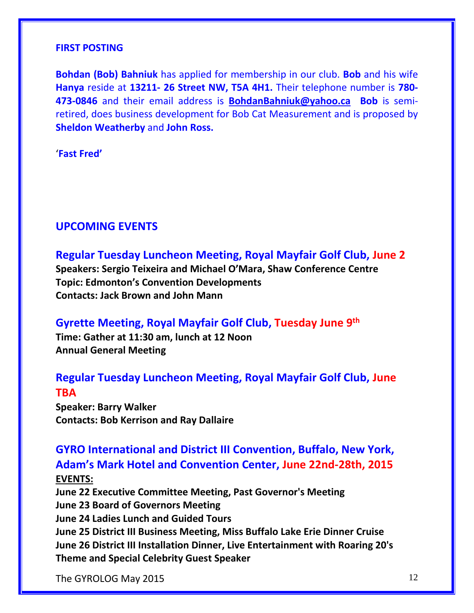#### **FIRST POSTING**

**Bohdan (Bob) Bahniuk** has applied for membership in our club. **Bob** and his wife **Hanya** reside at **13211- 26 Street NW, T5A 4H1.** Their telephone number is **780- 473-0846** and their email address is **<BohdanBahniuk@yahoo.ca>Bob** is semiretired, does business development for Bob Cat Measurement and is proposed by **Sheldon Weatherby** and **John Ross.**

'**Fast Fred'**

#### **UPCOMING EVENTS**

**Regular Tuesday Luncheon Meeting, Royal Mayfair Golf Club, June 2**

**Speakers: Sergio Teixeira and Michael O'Mara, Shaw Conference Centre Topic: Edmonton's Convention Developments Contacts: Jack Brown and John Mann**

**Gyrette Meeting, Royal Mayfair Golf Club, Tuesday June 9th**

**Time: Gather at 11:30 am, lunch at 12 Noon Annual General Meeting**

### **Regular Tuesday Luncheon Meeting, Royal Mayfair Golf Club, June TBA**

**Speaker: Barry Walker Contacts: Bob Kerrison and Ray Dallaire**

### **GYRO International and District III Convention, Buffalo, New York, Adam's Mark Hotel and Convention Center, June 22nd-28th, 2015 EVENTS:**

**June 22 Executive Committee Meeting, Past Governor's Meeting June 23 Board of Governors Meeting June 24 Ladies Lunch and Guided Tours June 25 District III Business Meeting, Miss Buffalo Lake Erie Dinner Cruise June 26 District III Installation Dinner, Live Entertainment with Roaring 20's Theme and Special Celebrity Guest Speaker**